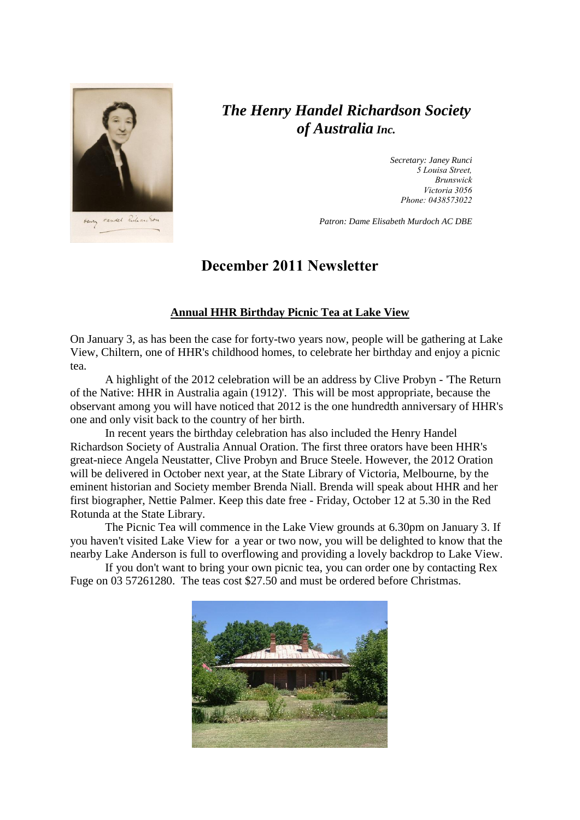

# *The Henry Handel Richardson Society of Australia Inc.*

*Secretary: Janey Runci 5 Louisa Street, Brunswick Victoria 3056 Phone: 0438573022*

*Patron: Dame Elisabeth Murdoch AC DBE*

## **December 2011 Newsletter**

### **Annual HHR Birthday Picnic Tea at Lake View**

On January 3, as has been the case for forty-two years now, people will be gathering at Lake View, Chiltern, one of HHR's childhood homes, to celebrate her birthday and enjoy a picnic tea.

A highlight of the 2012 celebration will be an address by Clive Probyn - 'The Return of the Native: HHR in Australia again (1912)'. This will be most appropriate, because the observant among you will have noticed that 2012 is the one hundredth anniversary of HHR's one and only visit back to the country of her birth.

In recent years the birthday celebration has also included the Henry Handel Richardson Society of Australia Annual Oration. The first three orators have been HHR's great-niece Angela Neustatter, Clive Probyn and Bruce Steele. However, the 2012 Oration will be delivered in October next year, at the State Library of Victoria, Melbourne, by the eminent historian and Society member Brenda Niall. Brenda will speak about HHR and her first biographer, Nettie Palmer. Keep this date free - Friday, October 12 at 5.30 in the Red Rotunda at the State Library.

The Picnic Tea will commence in the Lake View grounds at 6.30pm on January 3. If you haven't visited Lake View for a year or two now, you will be delighted to know that the nearby Lake Anderson is full to overflowing and providing a lovely backdrop to Lake View.

If you don't want to bring your own picnic tea, you can order one by contacting Rex Fuge on 03 57261280. The teas cost \$27.50 and must be ordered before Christmas.

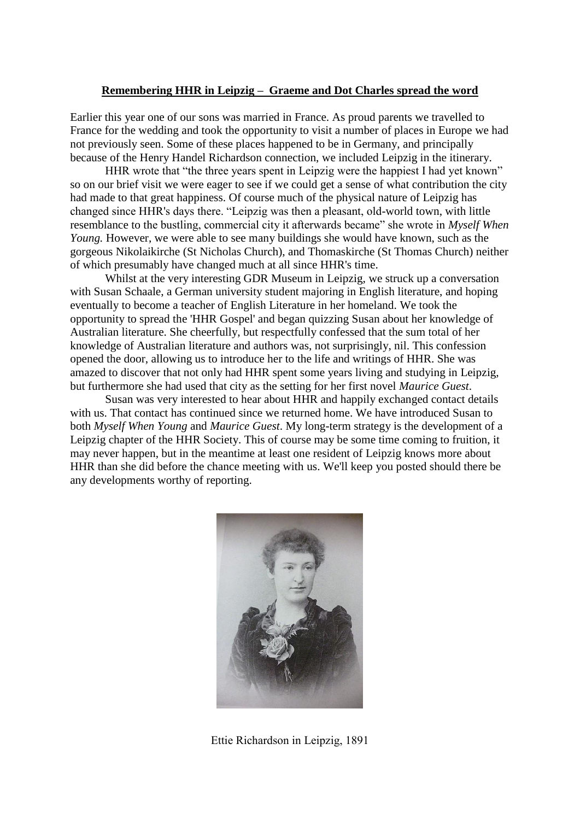#### **Remembering HHR in Leipzig – Graeme and Dot Charles spread the word**

Earlier this year one of our sons was married in France. As proud parents we travelled to France for the wedding and took the opportunity to visit a number of places in Europe we had not previously seen. Some of these places happened to be in Germany, and principally because of the Henry Handel Richardson connection, we included Leipzig in the itinerary.

HHR wrote that "the three years spent in Leipzig were the happiest I had yet known" so on our brief visit we were eager to see if we could get a sense of what contribution the city had made to that great happiness. Of course much of the physical nature of Leipzig has changed since HHR's days there. "Leipzig was then a pleasant, old-world town, with little resemblance to the bustling, commercial city it afterwards became" she wrote in *Myself When Young.* However, we were able to see many buildings she would have known, such as the gorgeous Nikolaikirche (St Nicholas Church), and Thomaskirche (St Thomas Church) neither of which presumably have changed much at all since HHR's time.

Whilst at the very interesting GDR Museum in Leipzig, we struck up a conversation with Susan Schaale, a German university student majoring in English literature, and hoping eventually to become a teacher of English Literature in her homeland. We took the opportunity to spread the 'HHR Gospel' and began quizzing Susan about her knowledge of Australian literature. She cheerfully, but respectfully confessed that the sum total of her knowledge of Australian literature and authors was, not surprisingly, nil. This confession opened the door, allowing us to introduce her to the life and writings of HHR. She was amazed to discover that not only had HHR spent some years living and studying in Leipzig, but furthermore she had used that city as the setting for her first novel *Maurice Guest*.

Susan was very interested to hear about HHR and happily exchanged contact details with us. That contact has continued since we returned home. We have introduced Susan to both *Myself When Young* and *Maurice Guest*. My long-term strategy is the development of a Leipzig chapter of the HHR Society. This of course may be some time coming to fruition, it may never happen, but in the meantime at least one resident of Leipzig knows more about HHR than she did before the chance meeting with us. We'll keep you posted should there be any developments worthy of reporting.



Ettie Richardson in Leipzig, 1891